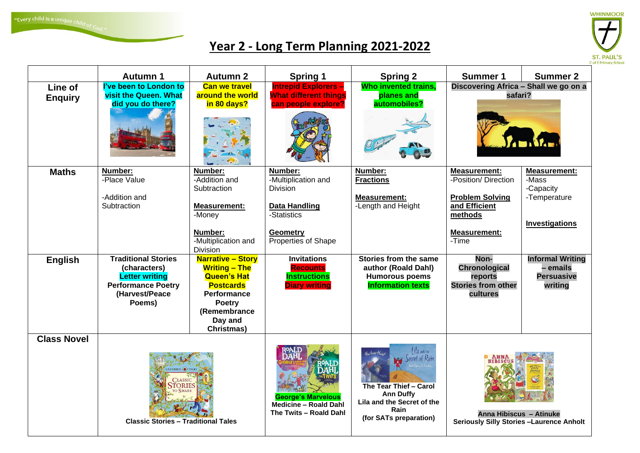"Every child is a unique  $\mathsf{child}$  of  $\mathsf{Co}_{\mathsf{d},\,$ "



## **Year 2 - Long Term Planning 2021-2022**

|                           | <b>Autumn 1</b>                                                                                                              | <b>Autumn 2</b>                                                                                                                                                             | <b>Spring 1</b>                                                                                                                    | <b>Spring 2</b>                                                                                                             | <b>Summer 1</b>                                                                                                                   | <b>Summer 2</b>                                                                    |
|---------------------------|------------------------------------------------------------------------------------------------------------------------------|-----------------------------------------------------------------------------------------------------------------------------------------------------------------------------|------------------------------------------------------------------------------------------------------------------------------------|-----------------------------------------------------------------------------------------------------------------------------|-----------------------------------------------------------------------------------------------------------------------------------|------------------------------------------------------------------------------------|
| Line of<br><b>Enquiry</b> | I've been to London to<br><b>visit the Queen. What</b><br>did you do there?                                                  | <b>Can we travel</b><br>around the world<br>in 80 days?                                                                                                                     | <b>Intrepid Explorers-</b><br><b>What different things</b><br>can people explore?                                                  | <b>Who invented trains,</b><br>planes and<br>automobiles?                                                                   | Discovering Africa - Shall we go on a<br>safari?                                                                                  |                                                                                    |
| <b>Maths</b>              | Number:<br>-Place Value<br>-Addition and<br>Subtraction                                                                      | Number:<br>-Addition and<br>Subtraction<br><b>Measurement:</b><br>-Money<br>Number:<br>-Multiplication and<br>Division                                                      | Number:<br>-Multiplication and<br><b>Division</b><br><b>Data Handling</b><br>-Statistics<br><b>Geometry</b><br>Properties of Shape | Number:<br><b>Fractions</b><br><b>Measurement:</b><br>-Length and Height                                                    | <b>Measurement:</b><br>-Position/ Direction<br><b>Problem Solving</b><br>and Efficient<br>methods<br><b>Measurement:</b><br>-Time | <b>Measurement:</b><br>-Mass<br>-Capacity<br>-Temperature<br><b>Investigations</b> |
| <b>English</b>            | <b>Traditional Stories</b><br>(characters)<br><b>Letter writing</b><br><b>Performance Poetry</b><br>(Harvest/Peace<br>Poems) | <b>Narrative - Story</b><br><b>Writing - The</b><br><b>Queen's Hat</b><br><b>Postcards</b><br><b>Performance</b><br>Poetry<br>(Remembrance<br>Day and<br><b>Christmas</b> ) | <b>Invitations</b><br><b>Recounts</b><br><b>Instructions</b><br><b>Diary writing</b>                                               | Stories from the same<br>author (Roald Dahl)<br><b>Humorous poems</b><br><b>Information texts</b>                           | Non-<br><b>Chronological</b><br>reports<br><b>Stories from other</b><br>cultures                                                  | <b>Informal Writing</b><br>- emails<br><b>Persuasive</b><br>writing                |
| <b>Class Novel</b>        | <b>Classic Stories - Traditional Tales</b>                                                                                   |                                                                                                                                                                             | <b>George's Marvelous</b><br><b>Medicine - Roald Dahl</b>                                                                          | Lila and the<br>the tearthier<br>Secret of Rain<br>The Tear Thief - Carol<br><b>Ann Duffy</b><br>Lila and the Secret of the | Anna Hibiscus - Atinuke<br><b>Seriously Silly Stories -Laurence Anholt</b>                                                        |                                                                                    |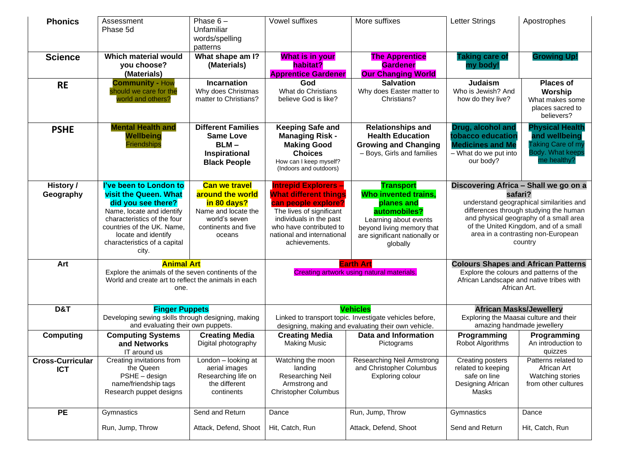| <b>Phonics</b>                        | Assessment<br>Phase 5d                                                                                                                                                                                                                 | Phase $6-$<br>Unfamiliar<br>words/spelling<br>patterns                                                                           | Vowel suffixes                                                                                                                                                                                                      | More suffixes                                                                                                                                                                    | <b>Letter Strings</b>                                                                                                                                                                                                                                                      | Apostrophes                                                                                            |
|---------------------------------------|----------------------------------------------------------------------------------------------------------------------------------------------------------------------------------------------------------------------------------------|----------------------------------------------------------------------------------------------------------------------------------|---------------------------------------------------------------------------------------------------------------------------------------------------------------------------------------------------------------------|----------------------------------------------------------------------------------------------------------------------------------------------------------------------------------|----------------------------------------------------------------------------------------------------------------------------------------------------------------------------------------------------------------------------------------------------------------------------|--------------------------------------------------------------------------------------------------------|
| <b>Science</b>                        | Which material would<br>you choose?<br>(Materials)                                                                                                                                                                                     | What shape am I?<br>(Materials)                                                                                                  | What is in your<br>habitat?<br><b>Apprentice Gardener</b>                                                                                                                                                           | <b>The Apprentice</b><br><b>Gardener</b><br><b>Our Changing World</b>                                                                                                            | <b>Taking care of</b><br>my body!                                                                                                                                                                                                                                          | <b>Growing Up!</b>                                                                                     |
| <b>RE</b>                             | <b>Community - How</b><br>should we care for the<br>world and others?                                                                                                                                                                  | <b>Incarnation</b><br>Why does Christmas<br>matter to Christians?                                                                | God<br>What do Christians<br>believe God is like?                                                                                                                                                                   | <b>Salvation</b><br>Why does Easter matter to<br>Christians?                                                                                                                     | <b>Judaism</b><br>Who is Jewish? And<br>how do they live?                                                                                                                                                                                                                  | <b>Places of</b><br>Worship<br>What makes some<br>places sacred to<br>believers?                       |
| <b>PSHE</b>                           | <b>Mental Health and</b><br><b>Wellbeing</b><br><b>Friendships</b>                                                                                                                                                                     | <b>Different Families</b><br><b>Same Love</b><br>$BLM -$<br>Inspirational<br><b>Black People</b>                                 | <b>Keeping Safe and</b><br><b>Managing Risk -</b><br><b>Making Good</b><br><b>Choices</b><br>How can I keep myself?<br>(Indoors and outdoors)                                                                       | <b>Relationships and</b><br><b>Health Education</b><br><b>Growing and Changing</b><br>- Boys, Girls and families                                                                 | Drug, alcohol and<br>tobacco education<br><b>Medicines and Me</b><br>- What do we put into<br>our body?                                                                                                                                                                    | <b>Physical Health</b><br>and wellbeing<br><b>Taking Care of my</b><br>Body. What keeps<br>me healthy? |
| History /<br>Geography                | I've been to London to<br><b>visit the Queen. What</b><br>did you see there?<br>Name, locate and identify<br>characteristics of the four<br>countries of the UK. Name,<br>locate and identify<br>characteristics of a capital<br>city. | <b>Can we travel</b><br>around the world<br>in 80 days?<br>Name and locate the<br>world's seven<br>continents and five<br>oceans | <b>Intrepid Explorers -</b><br><b>What different things</b><br>can people explore?<br>The lives of significant<br>individuals in the past<br>who have contributed to<br>national and international<br>achievements. | <b>Transport</b><br><b>Who invented trains.</b><br>planes and<br>automobiles?<br>Learning about events<br>beyond living memory that<br>are significant nationally or<br>globally | Discovering Africa - Shall we go on a<br>safari?<br>understand geographical similarities and<br>differences through studying the human<br>and physical geography of a small area<br>of the United Kingdom, and of a small<br>area in a contrasting non-European<br>country |                                                                                                        |
| Art                                   | <b>Animal Art</b><br>Explore the animals of the seven continents of the<br>World and create art to reflect the animals in each<br>one.                                                                                                 |                                                                                                                                  | <b>Earth Art</b><br>Creating artwork using natural materials.                                                                                                                                                       |                                                                                                                                                                                  | <b>Colours Shapes and African Patterns</b><br>Explore the colours and patterns of the<br>African Landscape and native tribes with<br>African Art.                                                                                                                          |                                                                                                        |
| D&T                                   | <b>Finger Puppets</b><br>Developing sewing skills through designing, making<br>and evaluating their own puppets.                                                                                                                       |                                                                                                                                  | <b>Vehicles</b><br>Linked to transport topic. Investigate vehicles before,<br>designing, making and evaluating their own vehicle.                                                                                   |                                                                                                                                                                                  | <b>African Masks/Jewellery</b><br>Exploring the Maasai culture and their<br>amazing handmade jewellery                                                                                                                                                                     |                                                                                                        |
| <b>Computing</b>                      | <b>Computing Systems</b><br>and Networks<br>IT around us                                                                                                                                                                               | <b>Creating Media</b><br>Digital photography                                                                                     | <b>Creating Media</b><br><b>Making Music</b>                                                                                                                                                                        | Data and Information<br>Pictograms                                                                                                                                               | Programming<br>Robot Algorithms                                                                                                                                                                                                                                            | Programming<br>An introduction to<br>quizzes                                                           |
| <b>Cross-Curricular</b><br><b>ICT</b> | Creating invitations from<br>the Queen<br>PSHE - design<br>name/friendship tags<br>Research puppet designs                                                                                                                             | London - looking at<br>aerial images<br>Researching life on<br>the different<br>continents                                       | Watching the moon<br>landing<br>Researching Neil<br>Armstrong and<br><b>Christopher Columbus</b>                                                                                                                    | Researching Neil Armstrong<br>and Christopher Columbus<br>Exploring colour                                                                                                       | <b>Creating posters</b><br>related to keeping<br>safe on line<br>Designing African<br>Masks                                                                                                                                                                                | Patterns related to<br>African Art<br>Watching stories<br>from other cultures                          |
| <b>PE</b>                             | Gymnastics<br>Run, Jump, Throw                                                                                                                                                                                                         | Send and Return<br>Attack, Defend, Shoot                                                                                         | Dance<br>Hit, Catch, Run                                                                                                                                                                                            | Run, Jump, Throw<br>Attack, Defend, Shoot                                                                                                                                        | Gymnastics<br>Send and Return                                                                                                                                                                                                                                              | Dance<br>Hit, Catch, Run                                                                               |
|                                       |                                                                                                                                                                                                                                        |                                                                                                                                  |                                                                                                                                                                                                                     |                                                                                                                                                                                  |                                                                                                                                                                                                                                                                            |                                                                                                        |